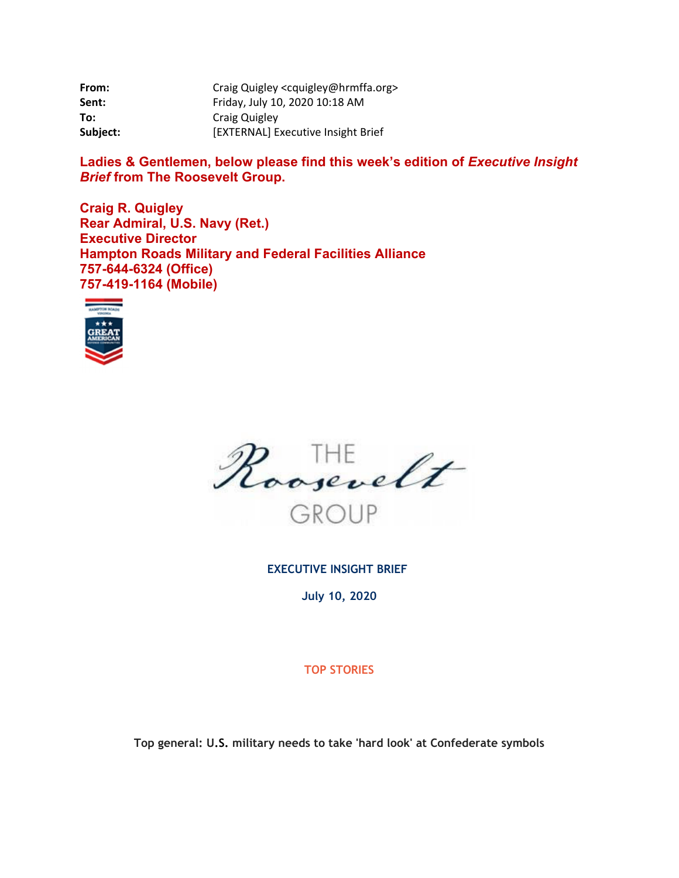| From:    | Craig Quigley <cquigley@hrmffa.org></cquigley@hrmffa.org> |
|----------|-----------------------------------------------------------|
| Sent:    | Friday, July 10, 2020 10:18 AM                            |
| To:      | Craig Quigley                                             |
| Subject: | [EXTERNAL] Executive Insight Brief                        |

Ladies & Gentlemen, below please find this week's edition of *Executive Insight Brief* **from The Roosevelt Group.** 

**Craig R. Quigley Rear Admiral, U.S. Navy (Ret.) Executive Director Hampton Roads Military and Federal Facilities Alliance 757-644-6324 (Office) 757-419-1164 (Mobile)** 





**EXECUTIVE INSIGHT BRIEF** 

**July 10, 2020** 

**TOP STORIES** 

**Top general: U.S. military needs to take 'hard look' at Confederate symbols**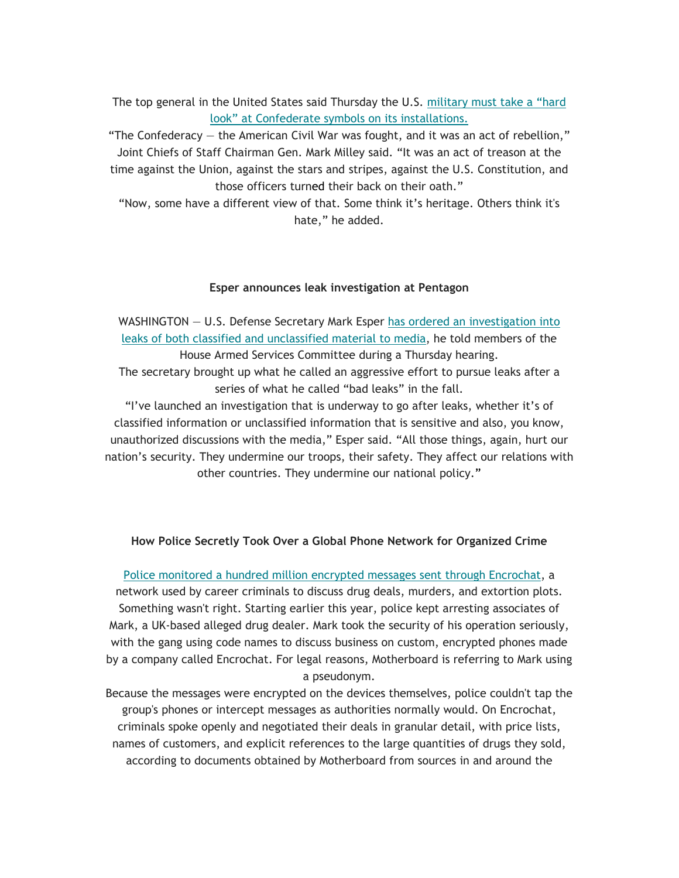The top general in the United States said Thursday the U.S. military must take a "hard look" at Confederate symbols on its installations.

"The Confederacy  $-$  the American Civil War was fought, and it was an act of rebellion," Joint Chiefs of Staff Chairman Gen. Mark Milley said. "It was an act of treason at the time against the Union, against the stars and stripes, against the U.S. Constitution, and those officers turned their back on their oath."

"Now, some have a different view of that. Some think it's heritage. Others think it's hate," he added.

### **Esper announces leak investigation at Pentagon**

WASHINGTON - U.S. Defense Secretary Mark Esper has ordered an investigation into leaks of both classified and unclassified material to media, he told members of the House Armed Services Committee during a Thursday hearing. The secretary brought up what he called an aggressive effort to pursue leaks after a series of what he called "bad leaks" in the fall. "I've launched an investigation that is underway to go after leaks, whether it's of

classified information or unclassified information that is sensitive and also, you know, unauthorized discussions with the media," Esper said. "All those things, again, hurt our nation's security. They undermine our troops, their safety. They affect our relations with other countries. They undermine our national policy."

## **How Police Secretly Took Over a Global Phone Network for Organized Crime**

Police monitored a hundred million encrypted messages sent through Encrochat, a network used by career criminals to discuss drug deals, murders, and extortion plots. Something wasn't right. Starting earlier this year, police kept arresting associates of Mark, a UK-based alleged drug dealer. Mark took the security of his operation seriously, with the gang using code names to discuss business on custom, encrypted phones made by a company called Encrochat. For legal reasons, Motherboard is referring to Mark using a pseudonym.

Because the messages were encrypted on the devices themselves, police couldn't tap the group's phones or intercept messages as authorities normally would. On Encrochat, criminals spoke openly and negotiated their deals in granular detail, with price lists, names of customers, and explicit references to the large quantities of drugs they sold, according to documents obtained by Motherboard from sources in and around the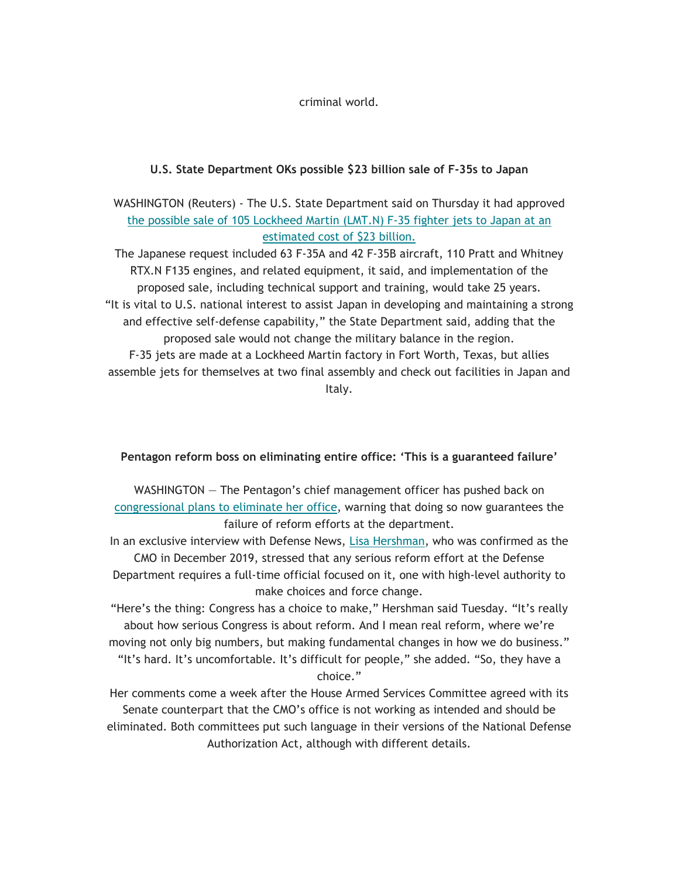criminal world.

# **U.S. State Department OKs possible \$23 billion sale of F-35s to Japan**

WASHINGTON (Reuters) - The U.S. State Department said on Thursday it had approved the possible sale of 105 Lockheed Martin (LMT.N) F-35 fighter jets to Japan at an estimated cost of \$23 billion.

The Japanese request included 63 F-35A and 42 F-35B aircraft, 110 Pratt and Whitney RTX.N F135 engines, and related equipment, it said, and implementation of the proposed sale, including technical support and training, would take 25 years. "It is vital to U.S. national interest to assist Japan in developing and maintaining a strong and effective self-defense capability," the State Department said, adding that the proposed sale would not change the military balance in the region. F-35 jets are made at a Lockheed Martin factory in Fort Worth, Texas, but allies assemble jets for themselves at two final assembly and check out facilities in Japan and Italy.

## **Pentagon reform boss on eliminating entire office: 'This is a guaranteed failure'**

WASHINGTON — The Pentagon's chief management officer has pushed back on congressional plans to eliminate her office, warning that doing so now guarantees the failure of reform efforts at the department.

In an exclusive interview with Defense News, Lisa Hershman, who was confirmed as the CMO in December 2019, stressed that any serious reform effort at the Defense Department requires a full-time official focused on it, one with high-level authority to make choices and force change.

"Here's the thing: Congress has a choice to make," Hershman said Tuesday. "It's really about how serious Congress is about reform. And I mean real reform, where we're moving not only big numbers, but making fundamental changes in how we do business." "It's hard. It's uncomfortable. It's difficult for people," she added. "So, they have a choice."

Her comments come a week after the House Armed Services Committee agreed with its Senate counterpart that the CMO's office is not working as intended and should be eliminated. Both committees put such language in their versions of the National Defense Authorization Act, although with different details.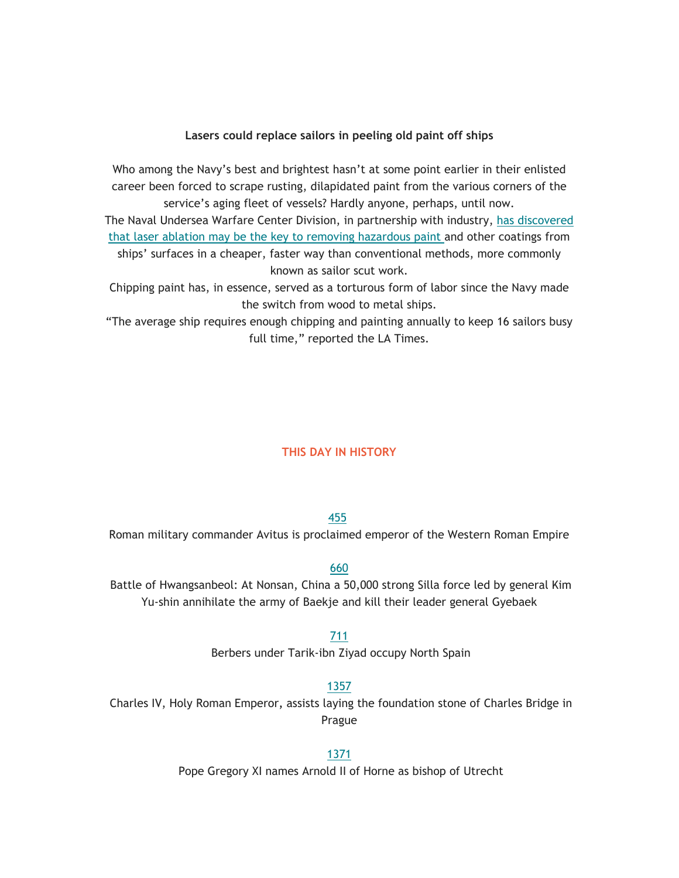### **Lasers could replace sailors in peeling old paint off ships**

Who among the Navy's best and brightest hasn't at some point earlier in their enlisted career been forced to scrape rusting, dilapidated paint from the various corners of the service's aging fleet of vessels? Hardly anyone, perhaps, until now.

The Naval Undersea Warfare Center Division, in partnership with industry, has discovered that laser ablation may be the key to removing hazardous paint and other coatings from ships' surfaces in a cheaper, faster way than conventional methods, more commonly known as sailor scut work.

Chipping paint has, in essence, served as a torturous form of labor since the Navy made the switch from wood to metal ships.

"The average ship requires enough chipping and painting annually to keep 16 sailors busy full time," reported the LA Times.

#### **THIS DAY IN HISTORY**

### 455

455 Roman military commander Avitus is proclaimed emperor of the Western Roman Empire

### 660

 Battle of Hwangsanbeol: At Nonsan, China a 50,000 strong Silla force led by general Kim Yu-shin annihilate the army of Baekje and kill their leader general Gyebaek

711

Berbers under Tarik-ibn Ziyad occupy North Spain

#### 1357

Charles IV, Holy Roman Emperor, assists laying the foundation stone of Charles Bridge in Prague

1371

Pope Gregory XI names Arnold II of Horne as bishop of Utrecht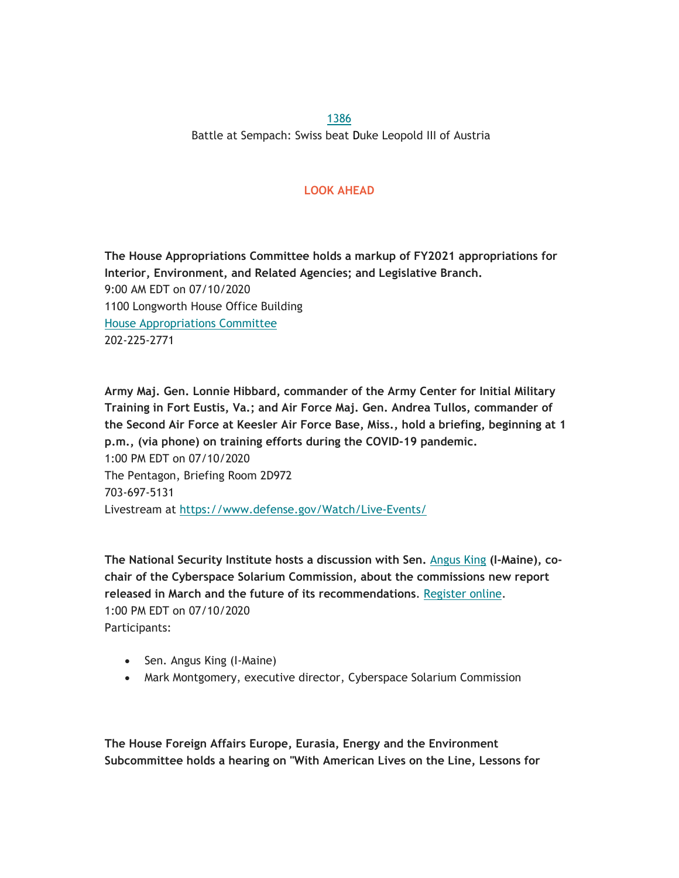1386 Battle at Sempach: Swiss beat Duke Leopold III of Austria

# **LOOK AHEAD**

**The House Appropriations Committee holds a markup of FY2021 appropriations for Interior, Environment, and Related Agencies; and Legislative Branch.**  9:00 AM EDT on 07/10/2020 1100 Longworth House Office Building House Appropriations Committee 202-225-2771

**Army Maj. Gen. Lonnie Hibbard, commander of the Army Center for Initial Military Training in Fort Eustis, Va.; and Air Force Maj. Gen. Andrea Tullos, commander of the Second Air Force at Keesler Air Force Base, Miss., hold a briefing, beginning at 1 p.m., (via phone) on training efforts during the COVID-19 pandemic.**  1:00 PM EDT on 07/10/2020 The Pentagon, Briefing Room 2D972 703-697-5131 Livestream at [https://www.defense.gov/Watch/Live-Events/](https://www.defense.gov/Watch/Live-Events)

**The National Security Institute hosts a discussion with Sen.** Angus King **(I-Maine), cochair of the Cyberspace Solarium Commission, about the commissions new report released in March and the future of its recommendations**. Register online. 1:00 PM EDT on 07/10/2020 Participants:

- Sen. Angus King (I-Maine)
- Mark Montgomery, executive director, Cyberspace Solarium Commission

**The House Foreign Affairs Europe, Eurasia, Energy and the Environment Subcommittee holds a hearing on "With American Lives on the Line, Lessons for**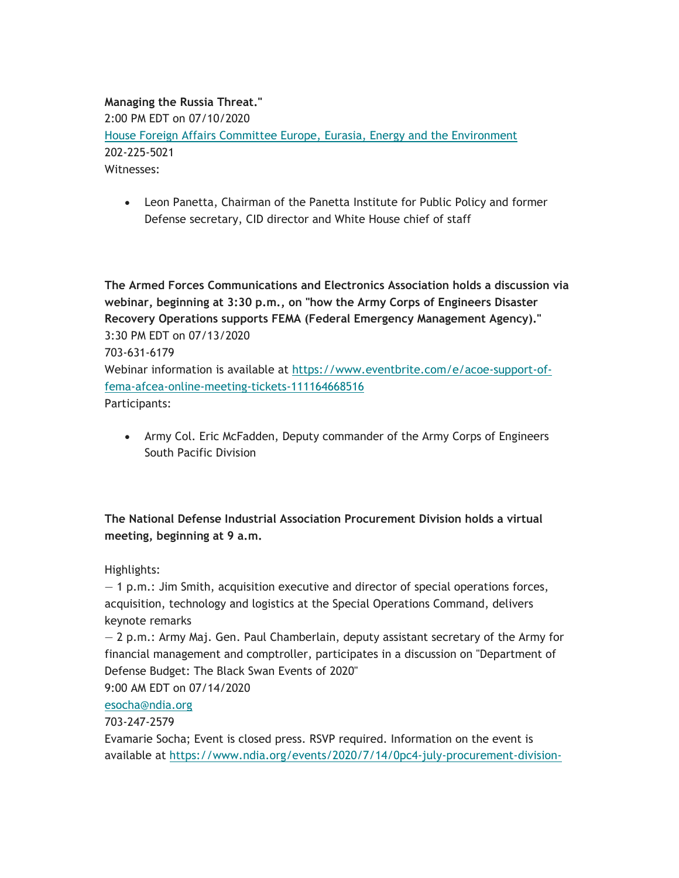# **Managing the Russia Threat."**  2:00 PM EDT on 07/10/2020 House Foreign Affairs Committee Europe, Eurasia, Energy and the Environment 202-225-5021 Witnesses:

 Leon Panetta, Chairman of the Panetta Institute for Public Policy and former Defense secretary, CID director and White House chief of staff

**The Armed Forces Communications and Electronics Association holds a discussion via webinar, beginning at 3:30 p.m., on "how the Army Corps of Engineers Disaster Recovery Operations supports FEMA (Federal Emergency Management Agency)."**  3:30 PM EDT on 07/13/2020 703-631-6179 Webinar information is available at <https://www.eventbrite.com/e/acoe-support-of>fema-afcea-online-meeting-tickets-111164668516 Participants:

 Army Col. Eric McFadden, Deputy commander of the Army Corps of Engineers South Pacific Division

# **The National Defense Industrial Association Procurement Division holds a virtual meeting, beginning at 9 a.m.**

Highlights:

 $-1$  p.m.: Jim Smith, acquisition executive and director of special operations forces, acquisition, technology and logistics at the Special Operations Command, delivers keynote remarks

— 2 p.m.: Army Maj. Gen. Paul Chamberlain, deputy assistant secretary of the Army for financial management and comptroller, participates in a discussion on "Department of Defense Budget: The Black Swan Events of 2020"

9:00 AM EDT on 07/14/2020

[esocha@ndia.org](mailto:esocha@ndia.org) 

703-247-2579

Evamarie Socha; Event is closed press. RSVP required. Information on the event is available at [https://www.ndia.org/events/2020/7/14/0pc4-july-procurement-division-](https://www.ndia.org/events/2020/7/14/0pc4-july-procurement-division)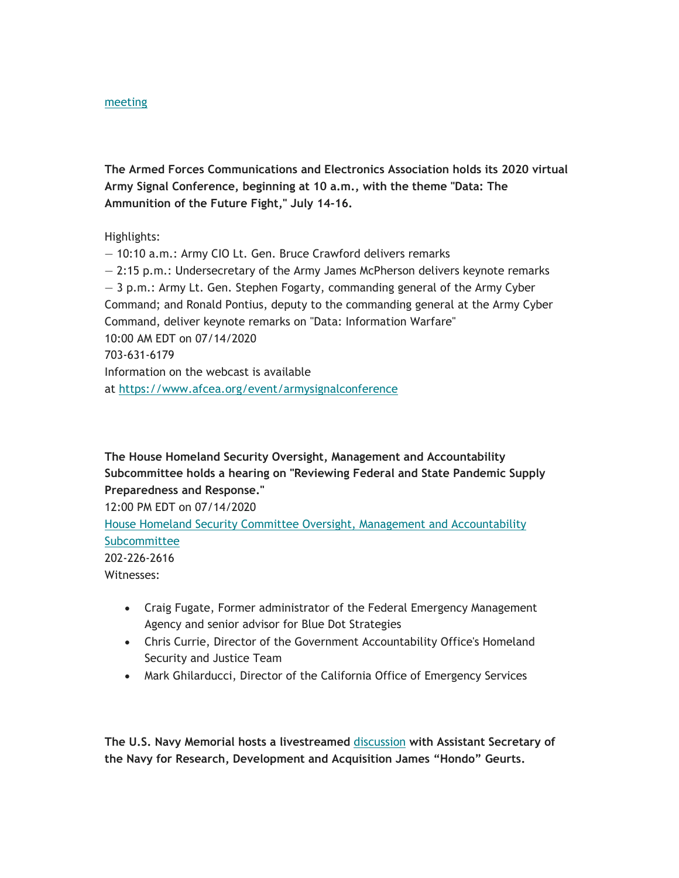#### meeting

**The Armed Forces Communications and Electronics Association holds its 2020 virtual Army Signal Conference, beginning at 10 a.m., with the theme "Data: The Ammunition of the Future Fight," July 14-16.** 

Highlights:

— 10:10 a.m.: Army CIO Lt. Gen. Bruce Crawford delivers remarks — 2:15 p.m.: Undersecretary of the Army James McPherson delivers keynote remarks — 3 p.m.: Army Lt. Gen. Stephen Fogarty, commanding general of the Army Cyber Command; and Ronald Pontius, deputy to the commanding general at the Army Cyber Command, deliver keynote remarks on "Data: Information Warfare" 10:00 AM EDT on 07/14/2020 703-631-6179 Information on the webcast is available at<https://www.afcea.org/event/armysignalconference>

**The House Homeland Security Oversight, Management and Accountability Subcommittee holds a hearing on "Reviewing Federal and State Pandemic Supply Preparedness and Response."** 

12:00 PM EDT on 07/14/2020 House Homeland Security Committee Oversight, Management and Accountability Subcommittee 202-226-2616 Witnesses:

- Craig Fugate, Former administrator of the Federal Emergency Management Agency and senior advisor for Blue Dot Strategies
- Chris Currie, Director of the Government Accountability Office's Homeland Security and Justice Team
- Mark Ghilarducci, Director of the California Office of Emergency Services

**The U.S. Navy Memorial hosts a livestreamed** discussion **with Assistant Secretary of the Navy for Research, Development and Acquisition James "Hondo" Geurts.**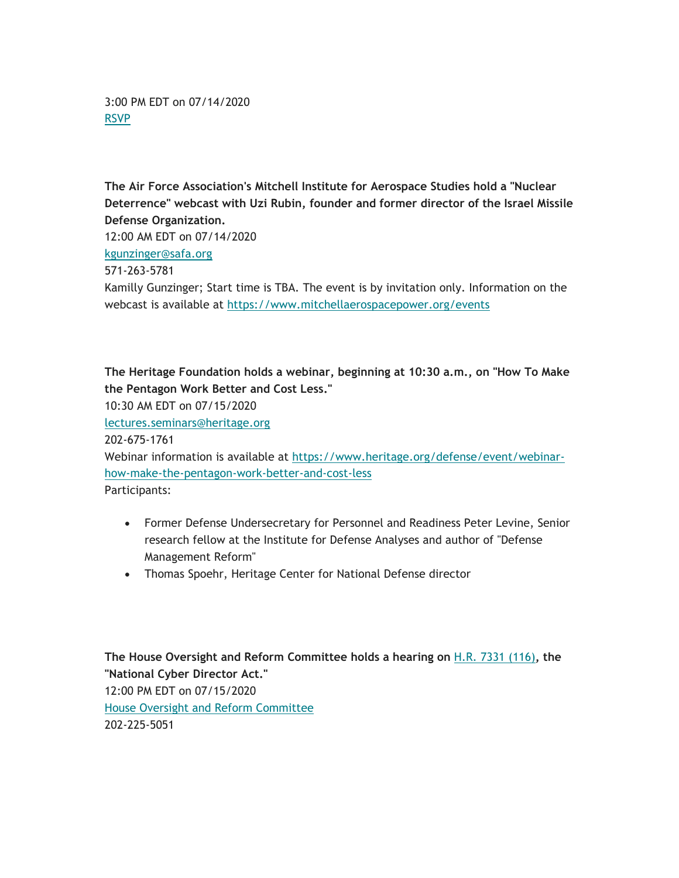3:00 PM EDT on 07/14/2020 RSVP

**The Air Force Association's Mitchell Institute for Aerospace Studies hold a "Nuclear Deterrence" webcast with Uzi Rubin, founder and former director of the Israel Missile Defense Organization.** 

12:00 AM EDT on 07/14/2020

[kgunzinger@safa.org](mailto:kgunzinger@safa.org)

# 571-263-5781

Kamilly Gunzinger; Start time is TBA. The event is by invitation only. Information on the webcast is available at <https://www.mitchellaerospacepower.org/events>

**The Heritage Foundation holds a webinar, beginning at 10:30 a.m., on "How To Make the Pentagon Work Better and Cost Less."** 

10:30 AM EDT on 07/15/2020 [lectures.seminars@heritage.org](mailto:lectures.seminars@heritage.org)  202-675-1761 Webinar information is available at <https://www.heritage.org/defense/event/webinar>how-make-the-pentagon-work-better-and-cost-less Participants:

- Former Defense Undersecretary for Personnel and Readiness Peter Levine, Senior research fellow at the Institute for Defense Analyses and author of "Defense Management Reform"
- Thomas Spoehr, Heritage Center for National Defense director

**The House Oversight and Reform Committee holds a hearing on** H.R. 7331 (116)**, the "National Cyber Director Act."**  12:00 PM EDT on 07/15/2020 House Oversight and Reform Committee 202-225-5051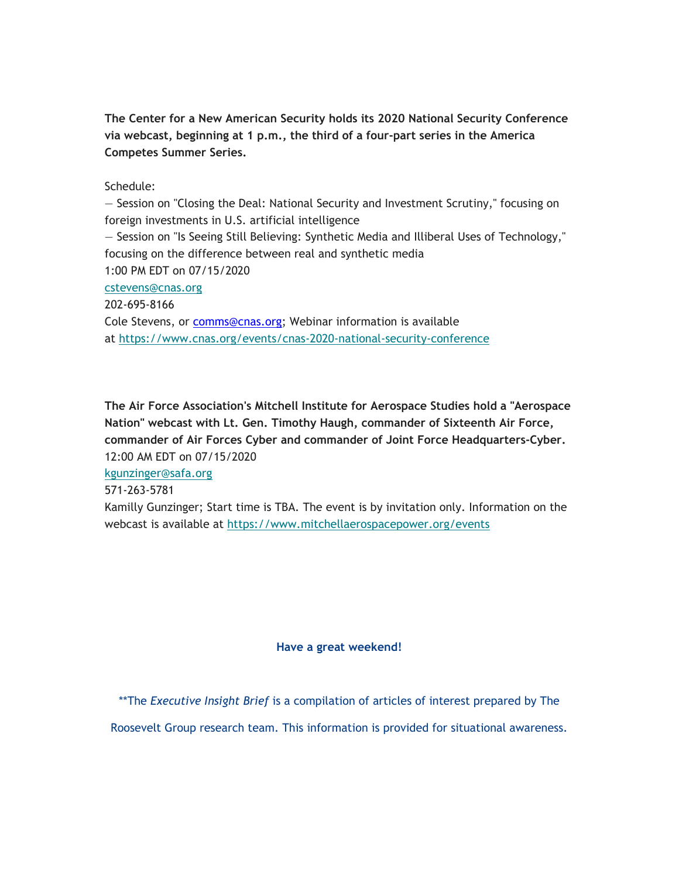**The Center for a New American Security holds its 2020 National Security Conference via webcast, beginning at 1 p.m., the third of a four-part series in the America Competes Summer Series.** 

## Schedule:

— Session on "Closing the Deal: National Security and Investment Scrutiny," focusing on foreign investments in U.S. artificial intelligence — Session on "Is Seeing Still Believing: Synthetic Media and Illiberal Uses of Technology," focusing on the difference between real and synthetic media 1:00 PM EDT on 07/15/2020 [cstevens@cnas.org](mailto:cstevens@cnas.org) 202-695-8166 Cole Stevens, or [comms@cnas.org](mailto:comms@cnas.org); Webinar information is available at<https://www.cnas.org/events/cnas-2020-national-security-conference>

**The Air Force Association's Mitchell Institute for Aerospace Studies hold a "Aerospace Nation" webcast with Lt. Gen. Timothy Haugh, commander of Sixteenth Air Force, commander of Air Forces Cyber and commander of Joint Force Headquarters-Cyber.**  12:00 AM EDT on 07/15/2020

[kgunzinger@safa.org](mailto:kgunzinger@safa.org)

571-263-5781

Kamilly Gunzinger; Start time is TBA. The event is by invitation only. Information on the webcast is available at <https://www.mitchellaerospacepower.org/events>

#### **Have a great weekend!**

\*\*The *Executive Insight Brief* is a compilation of articles of interest prepared by The

Roosevelt Group research team. This information is provided for situational awareness.